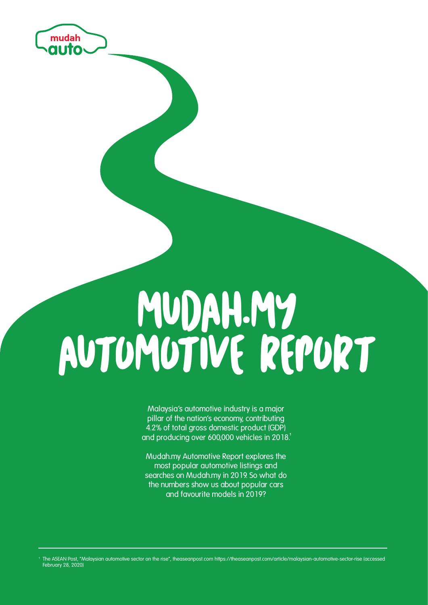

# MUDAH.MY AUTOMOTIVE REPORT

**Malaysia's automotive industry is a major pillar of the nation's economy, contributing 4.2% of total gross domestic product (GDP) and producing over 600,000 vehicles in 2018.** 

**Mudah.my Automotive Report explores the most popular automotive listings and searches on Mudah.my in 2019. So what do the numbers show us about popular cars and favourite models in 2019?**

The ASEAN Post, "Malaysian automotive sector on the rise", theaseanpost.com https://theaseanpost.com/article/malaysian-automotive-sector-rise (accessed February 28, 2020)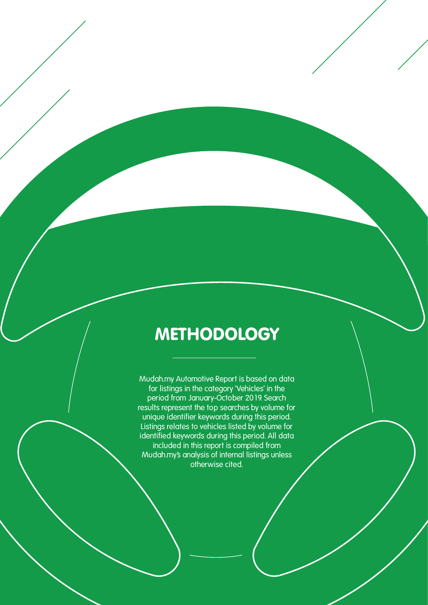#### **METHODOLOGY**

**Mudah.my Automotive Report is based on data for listings in the category 'Vehicles' in the period from January-October 2019. Search results represent the top searches by volume for unique identifier keywords during this period. Listings relates to vehicles listed by volume for identified keywords during this period. All data included in this report is compiled from Mudah.my's analysis of internal listings unless otherwise cited.**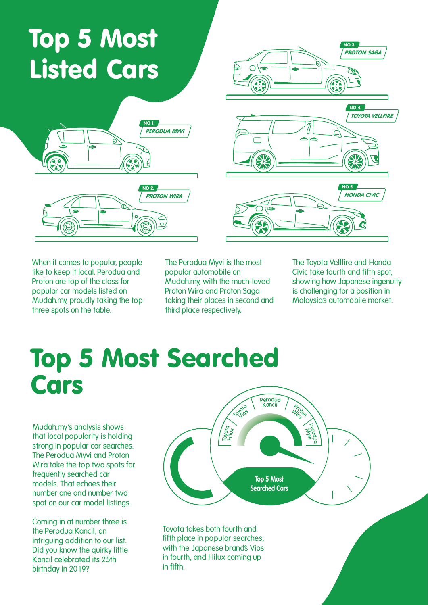## Top 5 Most Listed Cars





**When it comes to popular, people like to keep it local. Perodua and Proton are top of the class for popular car models listed on Mudah.my, proudly taking the top three spots on the table.**

**The Perodua Myvi is the most popular automobile on Mudah.my, with the much-loved Proton Wira and Proton Saga taking their places in second and third place respectively.**

**The Toyota Vellfire and Honda Civic take fourth and fifth spot, showing how Japanese ingenuity is challenging for a position in Malaysia's automobile market.** 

#### Top 5 Most Searched Cars

**Mudah.my's analysis shows that local popularity is holding strong in popular car searches. The Perodua Myvi and Proton Wira take the top two spots for frequently searched car models. That echoes their number one and number two spot on our car model listings.**

**Coming in at number three is the Perodua Kancil, an intriguing addition to our list. Did you know the quirky little Kancil celebrated its 25th birthday in 2019?**



**Toyota takes both fourth and fifth place in popular searches, with the Japanese brand's Vios in fourth, and Hilux coming up in fifth.**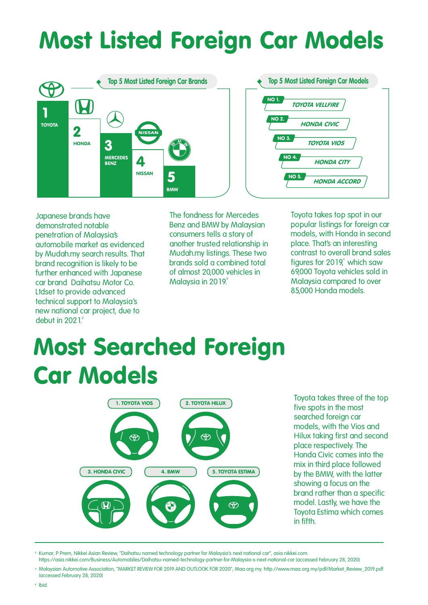#### Most Listed Foreign Car Models



**Japanese brands have demonstrated notable penetration of Malaysia's automobile market as evidenced by Mudah.my search results. That brand recognition is likely to be further enhanced with Japanese car brand Daihatsu Motor Co. Ltdset to provide advanced technical support to Malaysia's new national car project, due to debut in 2021.** 

**The fondness for Mercedes Benz and BMW by Malaysian consumers tells a story of another trusted relationship in Mudah.my listings. These two brands sold a combined total of almost 20,000 vehicles in Malaysia in 2019.**

**Toyota takes top spot in our popular listings for foreign car models, with Honda in second place. That's an interesting contrast to overall brand sales figures for 2019, which saw 69,000 Toyota vehicles sold in Malaysia compared to over 85,000 Honda models.**

### Most Searched Foreign Car Models



**Toyota takes three of the top five spots in the most searched foreign car models, with the Vios and Hilux taking first and second place respectively. The Honda Civic comes into the mix in third place followed by the BMW, with the latter showing a focus on the brand rather than a specific model. Lastly, we have the Toyota Estima which comes in fifth.**

Kumar, P Prem, Nikkei Asian Review, "Daihatsu named technology partner for Malaysia's next national car", asia.nikkei.com. https://asia.nikkei.com/Business/Automobiles/Daihatsu-named-technology-partner-for-Malaysia-s-next-national-car (accessed February 28, 2020)

<sup>3</sup> Malaysian Automotive Association, "MARKET REVIEW FOR 2019 AND OUTLOOK FOR 2020", Maa.org.my. http://www.maa.org.my/pdf/Market\_Review\_2019.pdf (accessed February 28, 2020)